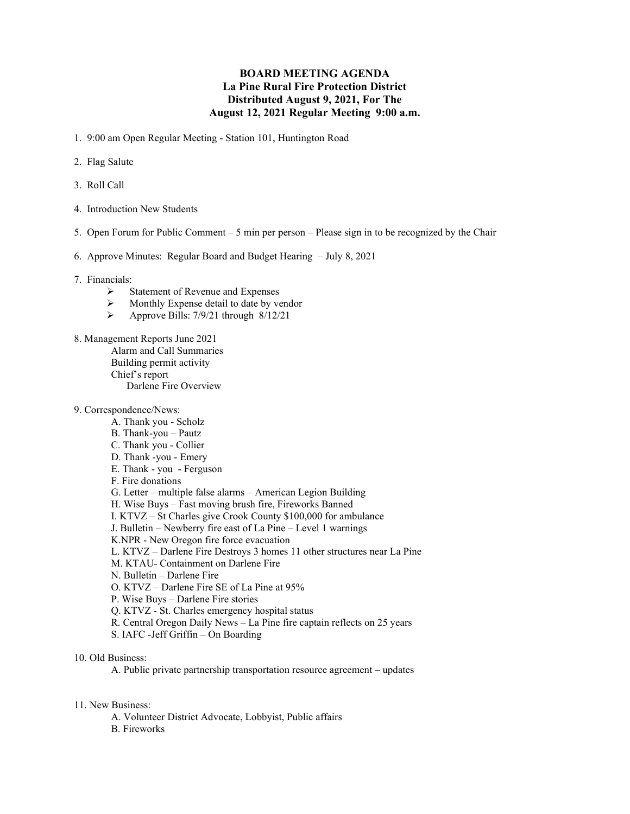## BOARD MEETING AGENDA La Pine Rural Fire Protection District Distributed August 9, 2021, For The August 12, 2021 Regular Meeting 9:00 a.m.

- 1. 9:00 am Open Regular Meeting Station 101, Huntington Road
- 2. Flag Salute
- 3. Roll Call
- 4. Introduction New Students
- 5. Open Forum for Public Comment 5 min per person Please sign in to be recognized by the Chair
- 6. Approve Minutes: Regular Board and Budget Hearing July 8, 2021
- 7. Financials:
	- Statement of Revenue and Expenses<br>  $\triangleright$  Monthly Expense detail to date by ve
	- $\triangleright$  Monthly Expense detail to date by vendor<br> $\triangleright$  Approve Bills: 7/9/21 through 8/12/21
	- Approve Bills: 7/9/21 through 8/12/21
- 8. Management Reports June 2021
	- Alarm and Call Summaries
	- Building permit activity
	- Chief's report
		- Darlene Fire Overview
- 9. Correspondence/News:
	- A. Thank you Scholz
	- B. Thank-you Pautz
	- C. Thank you Collier
	- D. Thank -you Emery
	- E. Thank you Ferguson
	- F. Fire donations
	- G. Letter multiple false alarms American Legion Building
	- H. Wise Buys Fast moving brush fire, Fireworks Banned
	- I. KTVZ St Charles give Crook County \$100,000 for ambulance
	- J. Bulletin Newberry fire east of La Pine Level 1 warnings
	- K.NPR New Oregon fire force evacuation
	- L. KTVZ Darlene Fire Destroys 3 homes 11 other structures near La Pine
	- M. KTAU- Containment on Darlene Fire
	- N. Bulletin Darlene Fire
	- O. KTVZ Darlene Fire SE of La Pine at 95%
	- P. Wise Buys Darlene Fire stories
	- Q. KTVZ St. Charles emergency hospital status
	- R. Central Oregon Daily News La Pine fire captain reflects on 25 years
	- S. IAFC -Jeff Griffin On Boarding
- 10. Old Business:

A. Public private partnership transportation resource agreement – updates

- 11. New Business:
	- A. Volunteer District Advocate, Lobbyist, Public affairs B. Fireworks